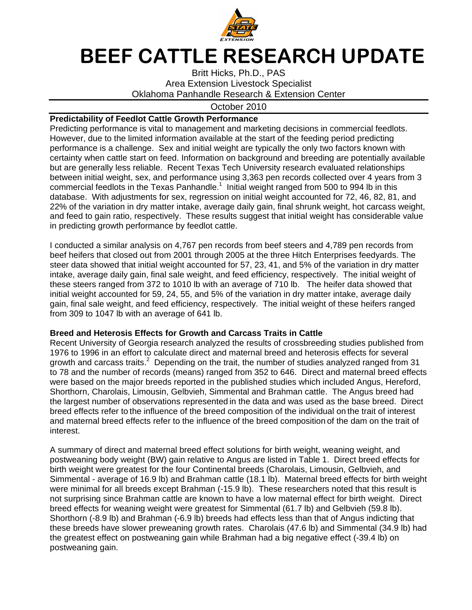

## BEEF CATTLE RESEARCH UPDATE

Britt Hicks, Ph.D., PAS Area Extension Livestock Specialist Oklahoma Panhandle Research & Extension Center

## October 2010

## **Predictability of Feedlot Cattle Growth Performance**

Predicting performance is vital to management and marketing decisions in commercial feedlots. However, due to the limited information available at the start of the feeding period predicting performance is a challenge. Sex and initial weight are typically the only two factors known with certainty when cattle start on feed. Information on background and breeding are potentially available but are generally less reliable. Recent Texas Tech University research evaluated relationships between initial weight, sex, and performance using 3,363 pen records collected over 4 years from 3 commercial feedlots in the Texas Panhandle.<sup>1</sup> Initial weight ranged from 500 to 994 lb in this database. With adjustments for sex, regression on initial weight accounted for 72, 46, 82, 81, and 22% of the variation in dry matter intake, average daily gain, final shrunk weight, hot carcass weight, and feed to gain ratio, respectively. These results suggest that initial weight has considerable value in predicting growth performance by feedlot cattle.

I conducted a similar analysis on 4,767 pen records from beef steers and 4,789 pen records from beef heifers that closed out from 2001 through 2005 at the three Hitch Enterprises feedyards. The steer data showed that initial weight accounted for 57, 23, 41, and 5% of the variation in dry matter intake, average daily gain, final sale weight, and feed efficiency, respectively. The initial weight of these steers ranged from 372 to 1010 lb with an average of 710 lb. The heifer data showed that initial weight accounted for 59, 24, 55, and 5% of the variation in dry matter intake, average daily gain, final sale weight, and feed efficiency, respectively. The initial weight of these heifers ranged from 309 to 1047 lb with an average of 641 lb.

## **Breed and Heterosis Effects for Growth and Carcass Traits in Cattle**

Recent University of Georgia research analyzed the results of crossbreeding studies published from 1976 to 1996 in an effort to calculate direct and maternal breed and heterosis effects for several growth and carcass traits.<sup>2</sup> Depending on the trait, the number of studies analyzed ranged from 31 to 78 and the number of records (means) ranged from 352 to 646. Direct and maternal breed effects were based on the major breeds reported in the published studies which included Angus, Hereford, Shorthorn, Charolais, Limousin, Gelbvieh, Simmental and Brahman cattle. The Angus breed had the largest number of observations represented in the data and was used as the base breed. Direct breed effects refer to the influence of the breed composition of the individual on the trait of interest and maternal breed effects refer to the influence of the breed composition of the dam on the trait of interest.

A summary of direct and maternal breed effect solutions for birth weight, weaning weight, and postweaning body weight (BW) gain relative to Angus are listed in Table 1. Direct breed effects for birth weight were greatest for the four Continental breeds (Charolais, Limousin, Gelbvieh, and Simmental - average of 16.9 lb) and Brahman cattle (18.1 lb). Maternal breed effects for birth weight were minimal for all breeds except Brahman (-15.9 lb). These researchers noted that this result is not surprising since Brahman cattle are known to have a low maternal effect for birth weight. Direct breed effects for weaning weight were greatest for Simmental (61.7 lb) and Gelbvieh (59.8 lb). Shorthorn (-8.9 lb) and Brahman (-6.9 lb) breeds had effects less than that of Angus indicting that these breeds have slower preweaning growth rates. Charolais (47.6 lb) and Simmental (34.9 lb) had the greatest effect on postweaning gain while Brahman had a big negative effect (-39.4 lb) on postweaning gain.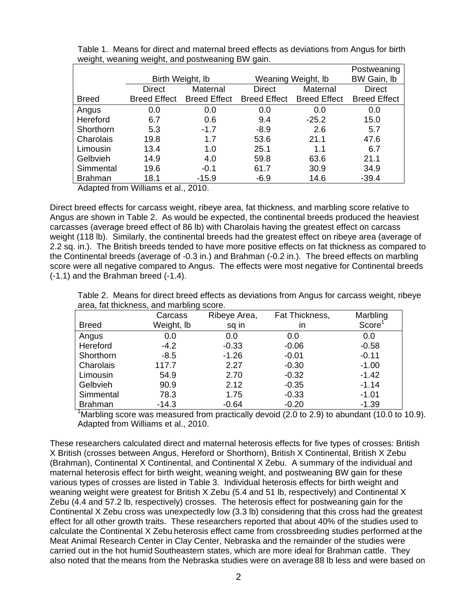|                |                     | Postweaning         |                     |                     |                     |
|----------------|---------------------|---------------------|---------------------|---------------------|---------------------|
|                | Birth Weight, Ib    |                     | Weaning Weight, Ib  | BW Gain, Ib         |                     |
|                | <b>Direct</b>       | Maternal            | <b>Direct</b>       | Maternal            | <b>Direct</b>       |
| <b>Breed</b>   | <b>Breed Effect</b> | <b>Breed Effect</b> | <b>Breed Effect</b> | <b>Breed Effect</b> | <b>Breed Effect</b> |
| Angus          | 0.0                 | 0.0                 | 0.0                 | 0.0                 | 0.0                 |
| Hereford       | 6.7                 | 0.6                 | 9.4                 | $-25.2$             | 15.0                |
| Shorthorn      | 5.3                 | $-1.7$              | $-8.9$              | 2.6                 | 5.7                 |
| Charolais      | 19.8                | 1.7                 | 53.6                | 21.1                | 47.6                |
| Limousin       | 13.4                | 1.0                 | 25.1                | 1.1                 | 6.7                 |
| Gelbvieh       | 14.9                | 4.0                 | 59.8                | 63.6                | 21.1                |
| Simmental      | 19.6                | $-0.1$              | 61.7                | 30.9                | 34.9                |
| <b>Brahman</b> | 18.1                | $-15.9$             | $-6.9$              | 14.6                | $-39.4$             |

Table 1. Means for direct and maternal breed effects as deviations from Angus for birth weight, weaning weight, and postweaning BW gain.

Adapted from Williams et al., 2010.

Direct breed effects for carcass weight, ribeye area, fat thickness, and marbling score relative to Angus are shown in Table 2. As would be expected, the continental breeds produced the heaviest carcasses (average breed effect of 86 lb) with Charolais having the greatest effect on carcass weight (118 lb). Similarly, the continental breeds had the greatest effect on ribeye area (average of 2.2 sq. in.). The British breeds tended to have more positive effects on fat thickness as compared to the Continental breeds (average of -0.3 in.) and Brahman (-0.2 in.). The breed effects on marbling score were all negative compared to Angus. The effects were most negative for Continental breeds (-1.1) and the Brahman breed (-1.4).

Table 2. Means for direct breed effects as deviations from Angus for carcass weight, ribeye area, fat thickness, and marbling score.

|                | Carcass    | Ribeye Area, | Fat Thickness, | Marbling           |
|----------------|------------|--------------|----------------|--------------------|
| <b>Breed</b>   | Weight, Ib | sq in        | ın             | Score <sup>1</sup> |
| Angus          | 0.0        | 0.0          | 0.0            | 0.0                |
| Hereford       | $-4.2$     | $-0.33$      | $-0.06$        | $-0.58$            |
| Shorthorn      | $-8.5$     | $-1.26$      | $-0.01$        | $-0.11$            |
| Charolais      | 117.7      | 2.27         | $-0.30$        | $-1.00$            |
| Limousin       | 54.9       | 2.70         | $-0.32$        | $-1.42$            |
| Gelbvieh       | 90.9       | 2.12         | $-0.35$        | $-1.14$            |
| Simmental      | 78.3       | 1.75         | $-0.33$        | $-1.01$            |
| <b>Brahman</b> | $-14.3$    | $-0.64$      | $-0.20$        | $-1.39$            |

 $1$ Marbling score was measured from practically devoid (2.0 to 2.9) to abundant (10.0 to 10.9). Adapted from Williams et al., 2010.

These researchers calculated direct and maternal heterosis effects for five types of crosses: British X British (crosses between Angus, Hereford or Shorthorn), British X Continental, British X Zebu (Brahman), Continental X Continental, and Continental X Zebu. A summary of the individual and maternal heterosis effect for birth weight, weaning weight, and postweaning BW gain for these various types of crosses are listed in Table 3. Individual heterosis effects for birth weight and weaning weight were greatest for British X Zebu (5.4 and 51 lb, respectively) and Continental X Zebu (4.4 and 57.2 lb, respectively) crosses. The heterosis effect for postweaning gain for the Continental X Zebu cross was unexpectedly low (3.3 lb) considering that this cross had the greatest effect for all other growth traits. These researchers reported that about 40% of the studies used to calculate the Continental X Zebu heterosis effect came from crossbreeding studies performed at the Meat Animal Research Center in Clay Center, Nebraska and the remainder of the studies were carried out in the hot humid Southeastern states, which are more ideal for Brahman cattle. They also noted that the means from the Nebraska studies were on average 88 lb less and were based on